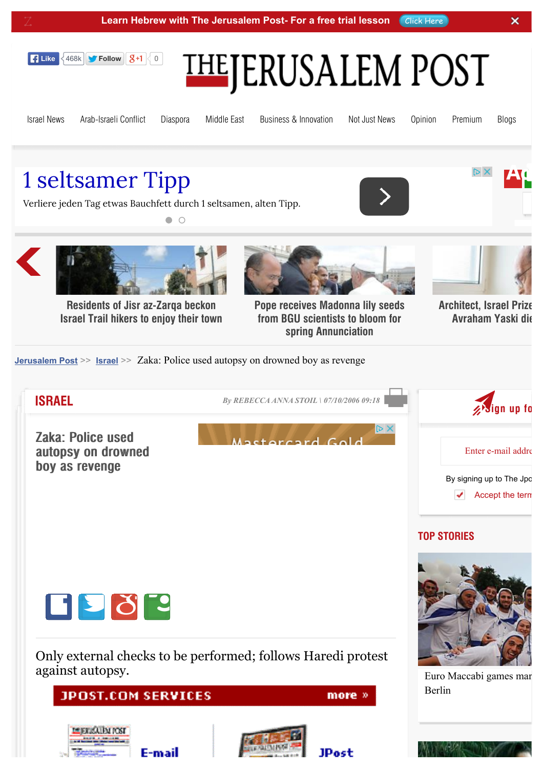



[Israel News](http://www.jpost.com/Israel-News) [Arab-Israeli Con](http://www.jpost.com/Arab-Israeli-Conflict)flict [Diaspora](http://www.jpost.com/Diaspora) [Middle East](http://www.jpost.com/Middle-East) [Business & Innovation](http://www.jpost.com/Business-and-Innovation) [Not Just News](http://www.jpost.com/Not-Just-News) [Opinion](http://www.jpost.com/Opinion) [Premium](http://www.jpost.com/Premium) [Blogs](http://www.jpost.com/Blogs)

AH.

## [1 seltsamer Tipp](http://www.googleadservices.com/pagead/aclk?sa=L&ai=Ca9y3aqO_VYSQJYyZigaXlaCIAei60ZkHqJ_-h7wBwI23ARABILaQ1Q1glbqugrQHoAHQ2LLXA8gBAakCq5F5vkhjsj6oAwHIA8MEqgSmAU_QzL8PZca-2_V0JrZh7_bFM4HGMASu05LlI-Nhgxnwi859ODLVGdcV7XKm_iMUME9Me1cDssFauCEruWVHsSEY_jPVeYb971g4HqCQBnbXibbiDi6hU5EHZkJc6GdeBXjouoaUZaay6VhfSV8NTgz1rCbp-mhrsvPs7eb3LV8z_yIQWXXJX6CnEZGjg03tJ-LuPwtKEHpml5f8B6u92brk4TuyxhuIBgGAB5inzSioB6a-G9gHAQ&num=1&cid=5GjQDyXSU5UhnEYaLbZaGeM-&sig=AOD64_1Grz0C1EaKSo5bQOv8HQYxYxVQNw&client=ca-pub-4865445412716104&adurl=http://www.easy-body-system.de/praesentation)

Verliere jeden Tag etwas Bauchfett durch 1 seltsamen, alten Tipp.

 $\bullet$   $\circ$ 





**Security forces on high alert as Residents of Jisr az-Zarqa beckon [Israel Trail hikers to enjoy their town](http://www.jpost.com/Israel/Head-Residents-of-Jisr-az-Zarqa-beckon-Israel-Trail-hikers-to-enjoy-their-town-347479)**

E-mai



**[Pope receives Madonna lily seeds](http://www.jpost.com/Israel/Pope-receives-Madonna-lily-seeds-from-BGU-scientists-to-bloom-for-spring-Annunciation-347171) from BGU scientists to bloom for spring Annunciation**

**JPost** 



**[Architect, Israel Prize](http://www.jpost.com/Israel/Israeli-archictect-and-Israel-Prize-laureate-Professor-Avraham-Yaski-passed-away-on-Friday-at-the-age-of-87-346799) Avraham Yaski die** 

**[Jerusalem Post](http://www.jpost.com/)** >> **[Israel](http://www.jpost.com/Israel)** >> Zaka: Police used autopsy on drowned boy as revenge

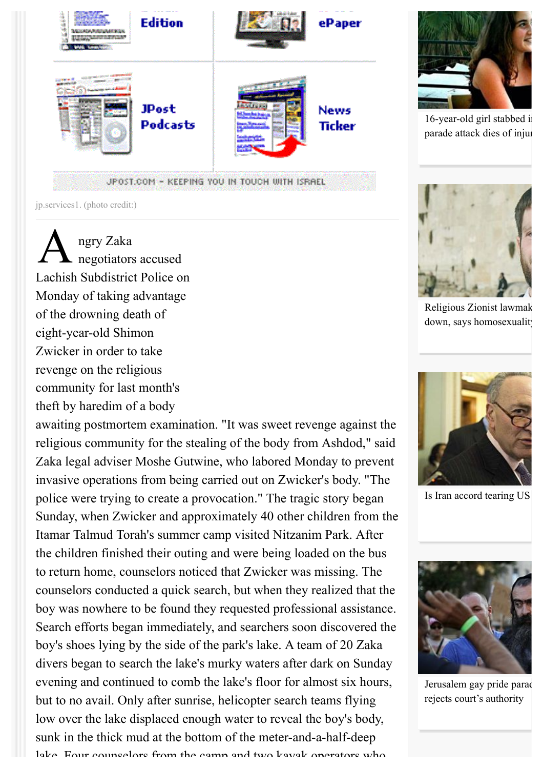

jp.services1. (photo credit:)

A ngry Zaka negotiators accused Lachish Subdistrict Police on Monday of taking advantage of the drowning death of eight-year-old Shimon Zwicker in order to take revenge on the religious community for last month's theft by haredim of a body

awaiting postmortem examination. "It was sweet revenge against the religious community for the stealing of the body from Ashdod," said Zaka legal adviser Moshe Gutwine, who labored Monday to prevent invasive operations from being carried out on Zwicker's body. "The police were trying to create a provocation." The tragic story began Sunday, when Zwicker and approximately 40 other children from the Itamar Talmud Torah's summer camp visited Nitzanim Park. After the children finished their outing and were being loaded on the bus to return home, counselors noticed that Zwicker was missing. The counselors conducted a quick search, but when they realized that the boy was nowhere to be found they requested professional assistance. Search efforts began immediately, and searchers soon discovered the boy's shoes lying by the side of the park's lake. A team of 20 Zaka divers began to search the lake's murky waters after dark on Sunday evening and continued to comb the lake's floor for almost six hours, but to no avail. Only after sunrise, helicopter search teams flying low over the lake displaced enough water to reveal the boy's body, sunk in the thick mud at the bottom of the meter-and-a-half-deep lake. Four counselors from the camp and two kayak operators who



[16-year-old girl stabbed in](http://www.jpost.com/Israel-News/Victim-in-Jerusalem-Gay-Pride-attack-dies-of-injuries-410896) parade attack dies of injuri



[Religious Zionist lawmak](http://www.jpost.com/Israel-News/Politics-And-Diplomacy/Religious-Zionist-lawmaker-refuses-to-back-down-says-homosexuality-an-abomination-410934) down, says homosexuality



Is Iran accord tearing US



[Jerusalem gay pride parad](http://www.jpost.com/Israel-News/Jerusalem-gay-pride-parade-stabbing-suspect-rejects-courts-authority-410818) rejects court's authority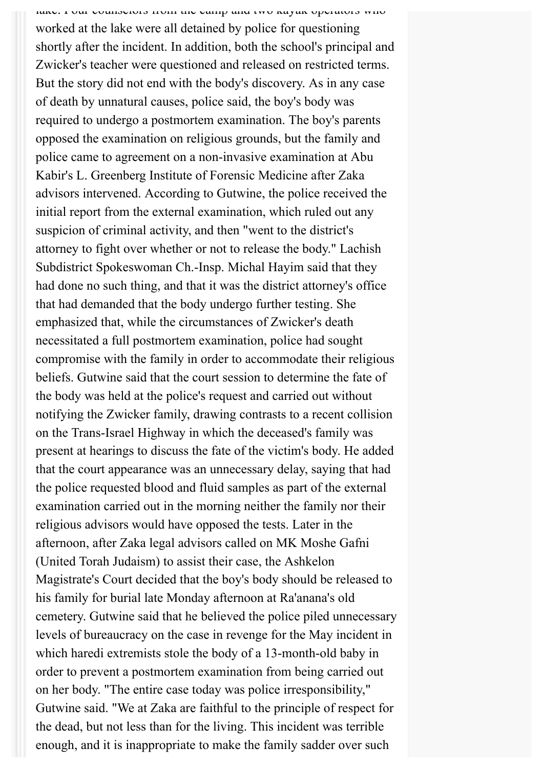lake. Four counselors from the camp and two kayak operators who worked at the lake were all detained by police for questioning shortly after the incident. In addition, both the school's principal and Zwicker's teacher were questioned and released on restricted terms. But the story did not end with the body's discovery. As in any case of death by unnatural causes, police said, the boy's body was required to undergo a postmortem examination. The boy's parents opposed the examination on religious grounds, but the family and police came to agreement on a non-invasive examination at Abu Kabir's L. Greenberg Institute of Forensic Medicine after Zaka advisors intervened. According to Gutwine, the police received the initial report from the external examination, which ruled out any suspicion of criminal activity, and then "went to the district's attorney to fight over whether or not to release the body." Lachish Subdistrict Spokeswoman Ch.-Insp. Michal Hayim said that they had done no such thing, and that it was the district attorney's office that had demanded that the body undergo further testing. She emphasized that, while the circumstances of Zwicker's death necessitated a full postmortem examination, police had sought compromise with the family in order to accommodate their religious beliefs. Gutwine said that the court session to determine the fate of the body was held at the police's request and carried out without notifying the Zwicker family, drawing contrasts to a recent collision on the Trans-Israel Highway in which the deceased's family was present at hearings to discuss the fate of the victim's body. He added that the court appearance was an unnecessary delay, saying that had the police requested blood and fluid samples as part of the external examination carried out in the morning neither the family nor their religious advisors would have opposed the tests. Later in the afternoon, after Zaka legal advisors called on MK Moshe Gafni (United Torah Judaism) to assist their case, the Ashkelon Magistrate's Court decided that the boy's body should be released to his family for burial late Monday afternoon at Ra'anana's old cemetery. Gutwine said that he believed the police piled unnecessary levels of bureaucracy on the case in revenge for the May incident in which haredi extremists stole the body of a 13-month-old baby in order to prevent a postmortem examination from being carried out on her body. "The entire case today was police irresponsibility," Gutwine said. "We at Zaka are faithful to the principle of respect for the dead, but not less than for the living. This incident was terrible enough, and it is inappropriate to make the family sadder over such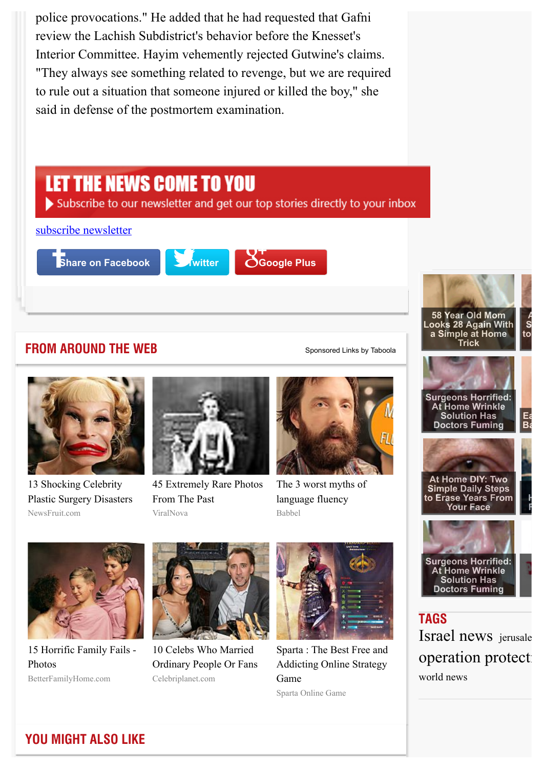police provocations." He added that he had requested that Gafni review the Lachish Subdistrict's behavior before the Knesset's Interior Committee. Hayim vehemently rejected Gutwine's claims. "They always see something related to revenge, but we are required to rule out a situation that someone injured or killed the boy," she said in defense of the postmortem examination.

## LET THE NEWS COME TO YOU

Subscribe to our newsletter and get our top stories directly to your inbox [subscribe newsletter](http://www.jpost.com/LandedPages/JPostNewsletterAndJPostAlert.aspx) **Share on Facebook Delays Find Coogle Plus 58 Year Old Mom At Home DIY: Two Looks 28 Again With Simple Daily Steps a Simple at Home** to **Example Trick FROM AROUND THE WEB** [Sponsored Links](http://www.taboola.com/en/popup?template=colorbox&taboola_utm_source=jpost&taboola_utm_medium=bytaboola&taboola_utm_content=thumbnails-2r-a:Below%20Article%20Thumbnails:) [by Taboola](http://www.taboola.com/en/popup?template=colorbox&taboola_utm_source=jpost&taboola_utm_medium=bytaboola&taboola_utm_content=thumbnails-2r-a:Below%20Article%20Thumbnails:) **Surgeons Horrified: At Home Wrinkle Solution Has Easy Way to Fix Eye Doctors Fuming**  $\mathbf{B}$ a $\mathbf{B}$ **At Home DIY: Two** 13 Shocking Celebrity [45 Extremely Rare Photos](http://www.viralnova.com/rare-historical-photos-gallery/?mb=lmg&utm_source=taboola&utm_medium=jpost%E2%80%8B&utm_campaign=119457) [The 3 worst myths of](http://www.babbel.com/magazine/myths-of-fluency?slc=engmag-a37-vid-bv12-fluencymyths-tb&utm_source=taboola&utm_medium=cpc&utm_campaign=cd_engall_gen_cus_fluencymyths) **Simple Daily Steps** language fluency **to Erase Years From Have to Pay to Be** [Plastic Surgery Disasters](http://www.newsfruit.com/celebrity-plastic-surgery-gone-wrong/?utm_source=taboola&utm_medium=referral&utm_content=Celebrity%20Surgery%20DE%20Desktop&utm_campaign=jpost) From The Past **Free of Joint Pain**



ViralNova

Babbel



**TAGS** [Israel news](http://www.jpost.com/Tags/Israel-news) [jerusale](http://www.jpost.com/Tags/jerusalem-post) operation protect: [world news](http://www.jpost.com/Tags/world-news)



BetterFamilyHome.com [15 Horrific Family Fails -](http://betterfamilyhome.com/15-family-photo-fails/?utm_content=pink&utm_term=jpost&utm_source=taboola&utm_medium=cpc&utm_campaign=Safe_BFH-01-Desktop) Photos



Celebriplanet.com 10 Celebs Who Married [Ordinary People Or Fans](http://www.celebriplanet.com/gossip/10-celebs-who-married-ordinary-people-or-fans/?utm_source=taboola&utm_medium=referral)



Sparta Online Game [Sparta : The Best Free and](http://plarium.com/en/strategy-games/sparta-war-of-empires/?plid=64551&pxl=taboola_fr&&publisherID=jpost) Addicting Online Strategy Game

**YOU MIGHT ALSO LIKE**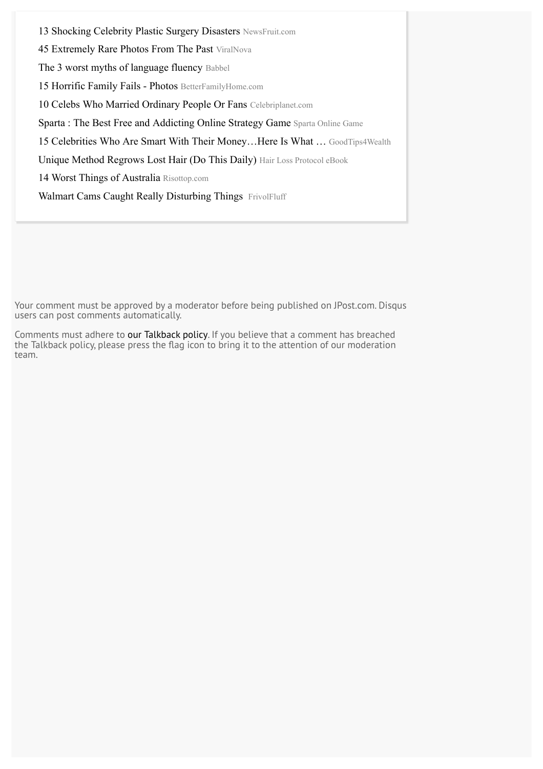[13 Shocking Celebrity Plastic Surgery Disasters](http://www.newsfruit.com/celebrity-plastic-surgery-gone-wrong/?utm_source=taboola&utm_medium=referral&utm_content=Celebrity%20Surgery%20DE%20Desktop&utm_campaign=jpost) NewsFruit.com [45 Extremely Rare Photos From The Past](http://www.viralnova.com/rare-historical-photos-gallery/?mb=lmg&utm_source=taboola&utm_medium=jpost%E2%80%8B&utm_campaign=119457) ViralNova [The 3 worst myths of language fluency](http://www.babbel.com/magazine/myths-of-fluency?slc=engmag-a37-vid-bv12-fluencymyths-tb&utm_source=taboola&utm_medium=cpc&utm_campaign=cd_engall_gen_cus_fluencymyths) Babbel [15 Horrific Family Fails - Photos](http://betterfamilyhome.com/15-family-photo-fails/?utm_content=pink&utm_term=jpost&utm_source=taboola&utm_medium=cpc&utm_campaign=Safe_BFH-01-Desktop) BetterFamilyHome.com [10 Celebs Who Married Ordinary People Or Fans](http://www.celebriplanet.com/gossip/10-celebs-who-married-ordinary-people-or-fans/?utm_source=taboola&utm_medium=referral) Celebriplanet.com [Sparta : The Best Free and Addicting Online Strategy Game](http://plarium.com/en/strategy-games/sparta-war-of-empires/?plid=64551&pxl=taboola_fr&&publisherID=jpost) Sparta Online Game 15 Celebrities Who Are Smart With Their Money...Here Is What ... GoodTips4Wealth [Unique Method Regrows Lost Hair \(Do This Daily\)](http://lifestylejournal.com/hairlossprotocol/?aff=1169&sub=taaHLP-ROW-desk&utm_medium=jpost) Hair Loss Protocol eBook [14 Worst Things of Australia](http://www.risottop.com/en/creepy/16-reasons-not-to-live-in-australia/?utm_source=taboola-en&utm_medium=referral&utm_term=jpost&utm_campaign=taboola-en-11) Risottop.com [Walmart Cams Caught Really Disturbing Things FrivolFluff](http://www.frivolfluff.com/10-walmart-beauties/?utm_campaign=FRFwalmartPrem&utm_content=P340-T30-walmartlbd-walmart&utm_source=taboola&utm_medium=cpc&utm_term=jpost)

Your comment must be approved by a moderator before being published on JPost.com. Disqus users can post comments automatically.

Comments must adhere to [our Talkback policy.](http://www.jpost.com/LandedPages/talkbackpolicy.aspx) If you believe that a comment has breached the Talkback policy, please press the flag icon to bring it to the attention of our moderation team.